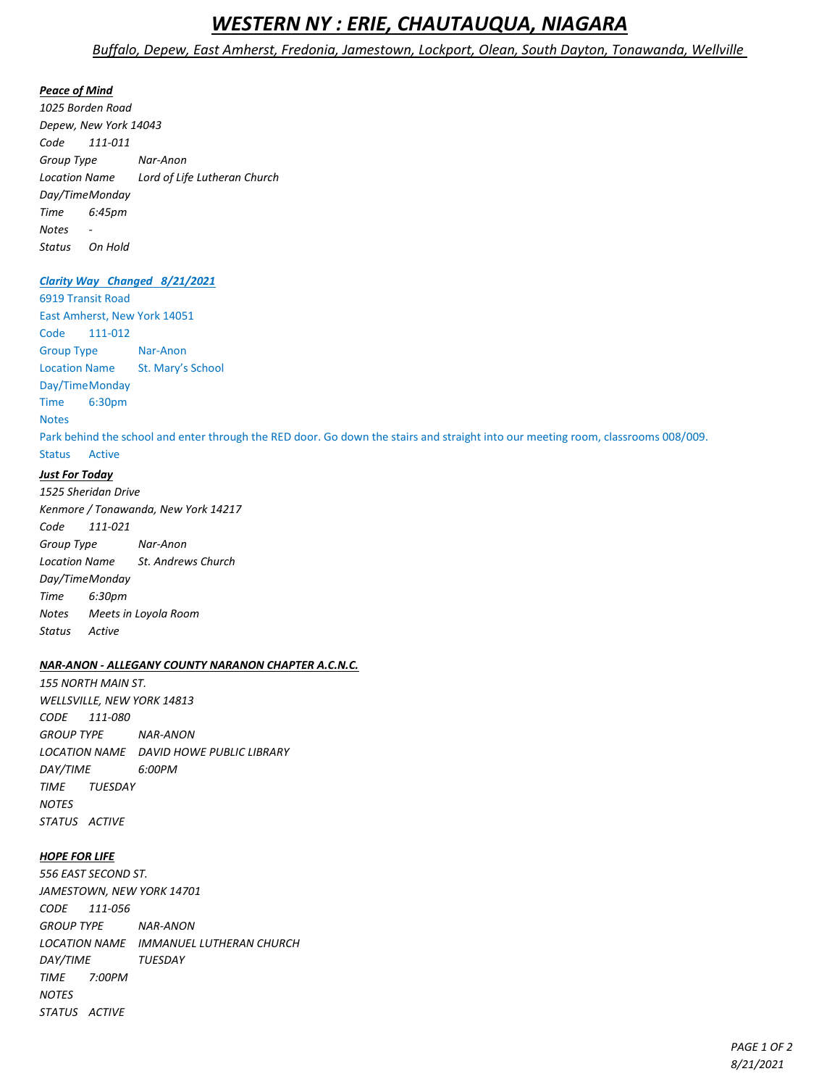# *WESTERN NY : ERIE, CHAUTAUQUA, NIAGARA*

## *Buffalo, Depew, East Amherst, Fredonia, Jamestown, Lockport, Olean, South Dayton, Tonawanda, Wellville*

### *Peace of Mind*

*1025 Borden Road Depew, New York 14043 Code 111-011 Group Type Nar-Anon Location Name Lord of Life Lutheran Church Day/TimeMonday Time 6:45pm Notes - Status On Hold*

## *Clarity Way Changed 8/21/2021*

6919 Transit Road East Amherst, New York 14051 Code 111-012 Group Type Nar-Anon Location Name St. Mary's School Day/TimeMonday Time 6:30pm Notes Park behind the school and enter through the RED door. Go down the stairs and straight into our meeting room, classrooms 008/009. Status Active

## *Just For Today*

*1525 Sheridan Drive Kenmore / Tonawanda, New York 14217 Code 111-021 Group Type Nar-Anon Location Name St. Andrews Church Day/TimeMonday Time 6:30pm Notes Meets in Loyola Room Status Active*

## *NAR-ANON - ALLEGANY COUNTY NARANON CHAPTER A.C.N.C.*

*155 NORTH MAIN ST. WELLSVILLE, NEW YORK 14813 CODE 111-080 GROUP TYPE NAR-ANON LOCATION NAME DAVID HOWE PUBLIC LIBRARY DAY/TIME 6:00PM TIME TUESDAY NOTES STATUS ACTIVE*

## *HOPE FOR LIFE*

*556 EAST SECOND ST. JAMESTOWN, NEW YORK 14701 CODE 111-056 GROUP TYPE NAR-ANON LOCATION NAME IMMANUEL LUTHERAN CHURCH DAY/TIME TUESDAY TIME 7:00PM NOTES STATUS ACTIVE*